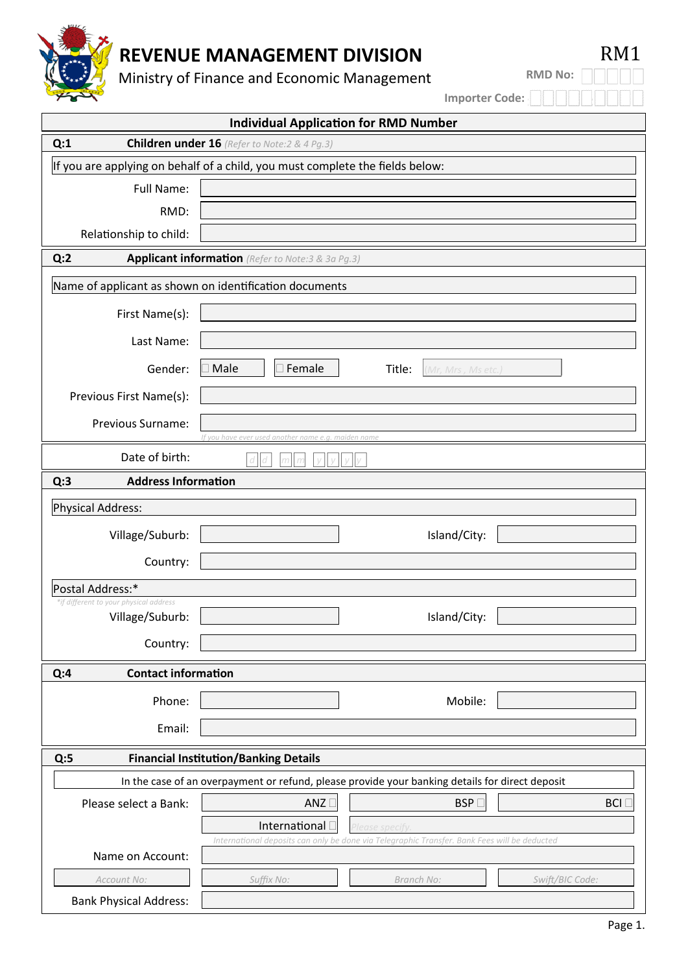

# **REVENUE MANAGEMENT DIVISION RM1**

Ministry of Finance and Economic Management

**RMD No:**

**Importer Code:**

| <b>Individual Application for RMD Number</b>                                                    |                                                                                              |  |  |  |
|-------------------------------------------------------------------------------------------------|----------------------------------------------------------------------------------------------|--|--|--|
| <b>Children under 16</b> (Refer to Note:2 & 4 Pg.3)<br>Q:1                                      |                                                                                              |  |  |  |
| If you are applying on behalf of a child, you must complete the fields below:                   |                                                                                              |  |  |  |
| <b>Full Name:</b>                                                                               |                                                                                              |  |  |  |
| RMD:                                                                                            |                                                                                              |  |  |  |
| Relationship to child:                                                                          |                                                                                              |  |  |  |
| Q:2<br>Applicant information (Refer to Note:3 & 3a Pg.3)                                        |                                                                                              |  |  |  |
| Name of applicant as shown on identification documents                                          |                                                                                              |  |  |  |
| First Name(s):                                                                                  |                                                                                              |  |  |  |
| Last Name:                                                                                      |                                                                                              |  |  |  |
| Gender:                                                                                         | Female<br>Male<br>Title:<br>(Mr, Mrs, Ms etc.)                                               |  |  |  |
| Previous First Name(s):                                                                         |                                                                                              |  |  |  |
| Previous Surname:                                                                               | If you have ever used another name e.g. maiden name                                          |  |  |  |
| Date of birth:                                                                                  |                                                                                              |  |  |  |
| Q:3<br><b>Address Information</b>                                                               |                                                                                              |  |  |  |
| Physical Address:                                                                               |                                                                                              |  |  |  |
| Village/Suburb:                                                                                 | Island/City:                                                                                 |  |  |  |
| Country:                                                                                        |                                                                                              |  |  |  |
| Postal Address:*                                                                                |                                                                                              |  |  |  |
| *if different to your physical address<br>Village/Suburb:                                       | Island/City:                                                                                 |  |  |  |
| Country:                                                                                        |                                                                                              |  |  |  |
| <b>Contact information</b><br>Q:4                                                               |                                                                                              |  |  |  |
| Phone:                                                                                          | Mobile:                                                                                      |  |  |  |
| Email:                                                                                          |                                                                                              |  |  |  |
| <b>Financial Institution/Banking Details</b><br>Q:5                                             |                                                                                              |  |  |  |
| In the case of an overpayment or refund, please provide your banking details for direct deposit |                                                                                              |  |  |  |
| Please select a Bank:                                                                           | ANZ<br>$BSP \square$<br><b>BCI</b>                                                           |  |  |  |
|                                                                                                 | International <sup>[]</sup><br>lease specify                                                 |  |  |  |
| Name on Account:                                                                                | International deposits can only be done via Telegraphic Transfer. Bank Fees will be deducted |  |  |  |
|                                                                                                 |                                                                                              |  |  |  |
| Account No:<br><b>Bank Physical Address:</b>                                                    | Suffix No:<br>Swift/BIC Code:<br>Branch No:                                                  |  |  |  |
|                                                                                                 |                                                                                              |  |  |  |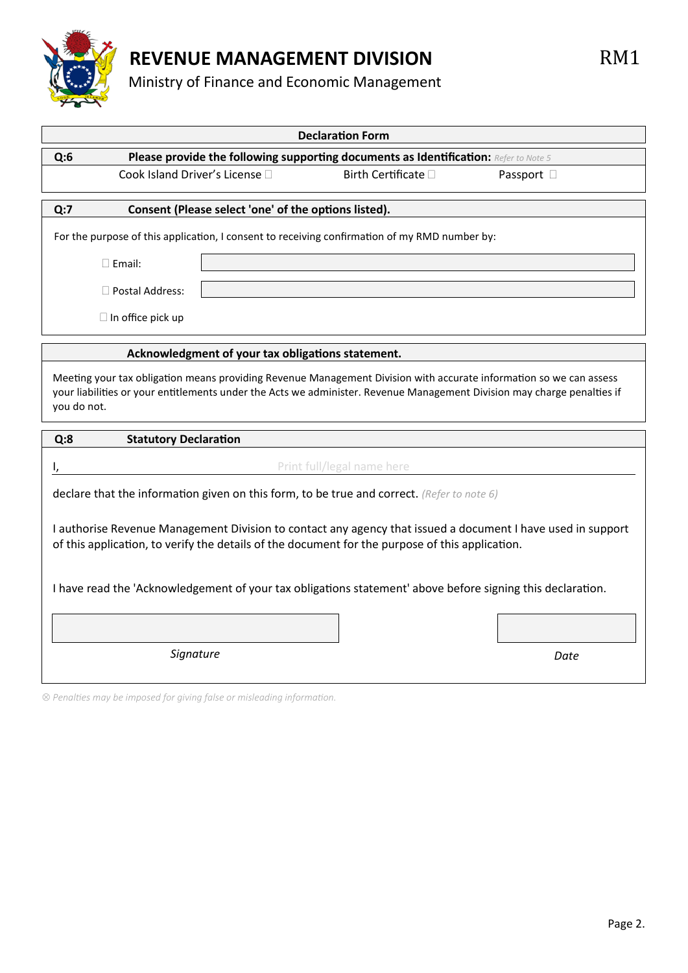

### **REVENUE MANAGEMENT DIVISION RM1**

#### Ministry of Finance and Economic Management

|                                                                                                                                                                                                                                                              | <b>Declaration Form</b>                                                              |            |  |  |
|--------------------------------------------------------------------------------------------------------------------------------------------------------------------------------------------------------------------------------------------------------------|--------------------------------------------------------------------------------------|------------|--|--|
| Q:6                                                                                                                                                                                                                                                          | Please provide the following supporting documents as Identification: Refer to Note 5 |            |  |  |
| Cook Island Driver's License [                                                                                                                                                                                                                               | Birth Certificate □                                                                  | Passport D |  |  |
| Q:7<br>Consent (Please select 'one' of the options listed).                                                                                                                                                                                                  |                                                                                      |            |  |  |
| For the purpose of this application, I consent to receiving confirmation of my RMD number by:                                                                                                                                                                |                                                                                      |            |  |  |
| $\Box$ Email:                                                                                                                                                                                                                                                |                                                                                      |            |  |  |
| $\Box$ Postal Address:                                                                                                                                                                                                                                       |                                                                                      |            |  |  |
|                                                                                                                                                                                                                                                              |                                                                                      |            |  |  |
| $\Box$ In office pick up                                                                                                                                                                                                                                     |                                                                                      |            |  |  |
| Acknowledgment of your tax obligations statement.                                                                                                                                                                                                            |                                                                                      |            |  |  |
| Meeting your tax obligation means providing Revenue Management Division with accurate information so we can assess<br>your liabilities or your entitlements under the Acts we administer. Revenue Management Division may charge penalties if<br>you do not. |                                                                                      |            |  |  |
| Q:8<br><b>Statutory Declaration</b>                                                                                                                                                                                                                          |                                                                                      |            |  |  |
| Print full/legal name here                                                                                                                                                                                                                                   |                                                                                      |            |  |  |
| declare that the information given on this form, to be true and correct. (Refer to note 6)                                                                                                                                                                   |                                                                                      |            |  |  |
| I authorise Revenue Management Division to contact any agency that issued a document I have used in support<br>of this application, to verify the details of the document for the purpose of this application.                                               |                                                                                      |            |  |  |
| I have read the 'Acknowledgement of your tax obligations statement' above before signing this declaration.                                                                                                                                                   |                                                                                      |            |  |  |
| Signature                                                                                                                                                                                                                                                    |                                                                                      | Date       |  |  |

*Penalties may be imposed for giving false or misleading information.*